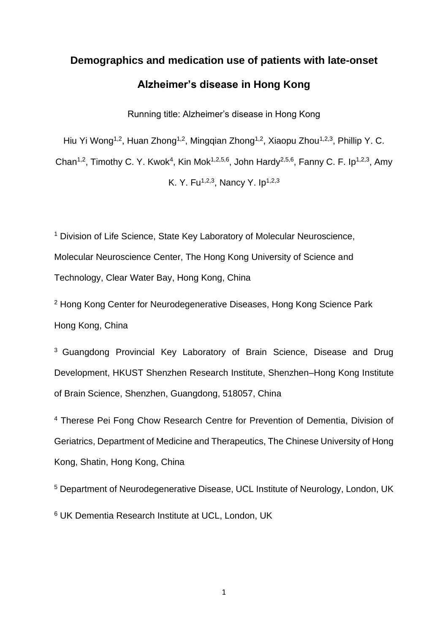# **Demographics and medication use of patients with late-onset Alzheimer's disease in Hong Kong**

Running title: Alzheimer's disease in Hong Kong

Hiu Yi Wong<sup>1,2</sup>, Huan Zhong<sup>1,2</sup>, Minggian Zhong<sup>1,2</sup>, Xiaopu Zhou<sup>1,2,3</sup>, Phillip Y. C.

Chan<sup>1,2</sup>, Timothy C. Y. Kwok<sup>4</sup>, Kin Mok<sup>1,2,5,6</sup>, John Hardy<sup>2,5,6</sup>, Fanny C. F. Ip<sup>1,2,3</sup>, Amy

K. Y. Fu<sup>1,2,3</sup>, Nancy Y. Ip<sup>1,2,3</sup>

<sup>1</sup> Division of Life Science, State Key Laboratory of Molecular Neuroscience, Molecular Neuroscience Center, The Hong Kong University of Science and Technology, Clear Water Bay, Hong Kong, China

<sup>2</sup> Hong Kong Center for Neurodegenerative Diseases, Hong Kong Science Park Hong Kong, China

<sup>3</sup> Guangdong Provincial Key Laboratory of Brain Science, Disease and Drug Development, HKUST Shenzhen Research Institute, Shenzhen–Hong Kong Institute of Brain Science, Shenzhen, Guangdong, 518057, China

<sup>4</sup> Therese Pei Fong Chow Research Centre for Prevention of Dementia, Division of Geriatrics, Department of Medicine and Therapeutics, The Chinese University of Hong Kong, Shatin, Hong Kong, China

<sup>5</sup> Department of Neurodegenerative Disease, UCL Institute of Neurology, London, UK

<sup>6</sup> UK Dementia Research Institute at UCL, London, UK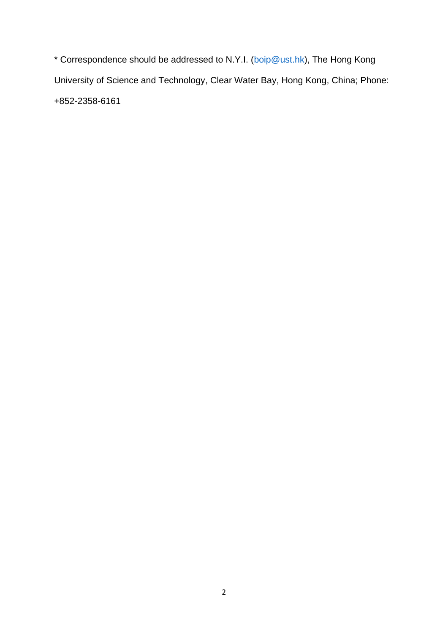\* Correspondence should be addressed to N.Y.I. [\(boip@ust.hk\)](mailto:boip@ust.hk), The Hong Kong University of Science and Technology, Clear Water Bay, Hong Kong, China; Phone: +852-2358-6161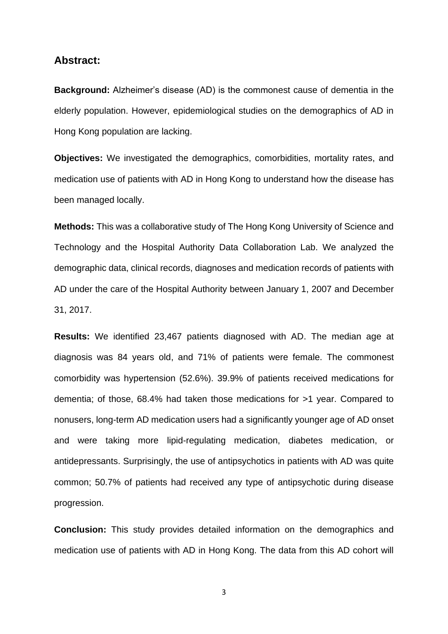### **Abstract:**

**Background:** Alzheimer's disease (AD) is the commonest cause of dementia in the elderly population. However, epidemiological studies on the demographics of AD in Hong Kong population are lacking.

**Objectives:** We investigated the demographics, comorbidities, mortality rates, and medication use of patients with AD in Hong Kong to understand how the disease has been managed locally.

**Methods:** This was a collaborative study of The Hong Kong University of Science and Technology and the Hospital Authority Data Collaboration Lab. We analyzed the demographic data, clinical records, diagnoses and medication records of patients with AD under the care of the Hospital Authority between January 1, 2007 and December 31, 2017.

**Results:** We identified 23,467 patients diagnosed with AD. The median age at diagnosis was 84 years old, and 71% of patients were female. The commonest comorbidity was hypertension (52.6%). 39.9% of patients received medications for dementia; of those, 68.4% had taken those medications for >1 year. Compared to nonusers, long-term AD medication users had a significantly younger age of AD onset and were taking more lipid-regulating medication, diabetes medication, or antidepressants. Surprisingly, the use of antipsychotics in patients with AD was quite common; 50.7% of patients had received any type of antipsychotic during disease progression.

**Conclusion:** This study provides detailed information on the demographics and medication use of patients with AD in Hong Kong. The data from this AD cohort will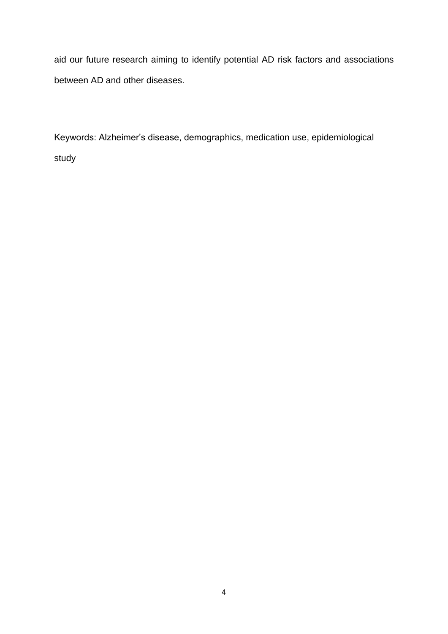aid our future research aiming to identify potential AD risk factors and associations between AD and other diseases.

Keywords: Alzheimer's disease, demographics, medication use, epidemiological study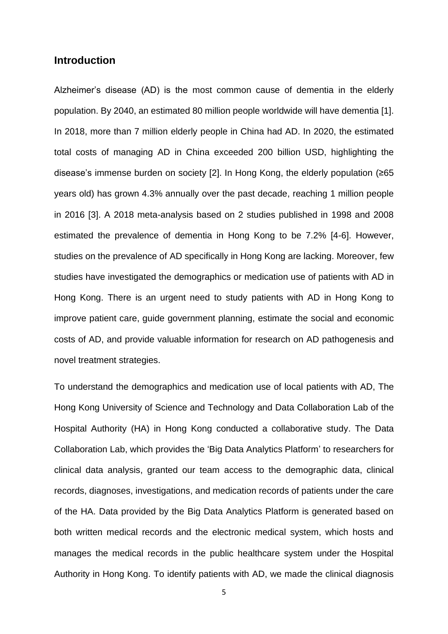# **Introduction**

Alzheimer's disease (AD) is the most common cause of dementia in the elderly population. By 2040, an estimated 80 million people worldwide will have dementia [1]. In 2018, more than 7 million elderly people in China had AD. In 2020, the estimated total costs of managing AD in China exceeded 200 billion USD, highlighting the disease's immense burden on society [2]. In Hong Kong, the elderly population (≥65 years old) has grown 4.3% annually over the past decade, reaching 1 million people in 2016 [3]. A 2018 meta-analysis based on 2 studies published in 1998 and 2008 estimated the prevalence of dementia in Hong Kong to be 7.2% [4-6]. However, studies on the prevalence of AD specifically in Hong Kong are lacking. Moreover, few studies have investigated the demographics or medication use of patients with AD in Hong Kong. There is an urgent need to study patients with AD in Hong Kong to improve patient care, guide government planning, estimate the social and economic costs of AD, and provide valuable information for research on AD pathogenesis and novel treatment strategies.

To understand the demographics and medication use of local patients with AD, The Hong Kong University of Science and Technology and Data Collaboration Lab of the Hospital Authority (HA) in Hong Kong conducted a collaborative study. The Data Collaboration Lab, which provides the 'Big Data Analytics Platform' to researchers for clinical data analysis, granted our team access to the demographic data, clinical records, diagnoses, investigations, and medication records of patients under the care of the HA. Data provided by the Big Data Analytics Platform is generated based on both written medical records and the electronic medical system, which hosts and manages the medical records in the public healthcare system under the Hospital Authority in Hong Kong. To identify patients with AD, we made the clinical diagnosis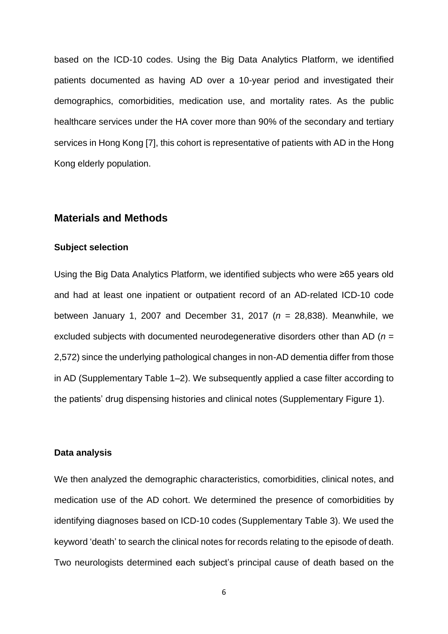based on the ICD-10 codes. Using the Big Data Analytics Platform, we identified patients documented as having AD over a 10-year period and investigated their demographics, comorbidities, medication use, and mortality rates. As the public healthcare services under the HA cover more than 90% of the secondary and tertiary services in Hong Kong [7], this cohort is representative of patients with AD in the Hong Kong elderly population.

# **Materials and Methods**

#### **Subject selection**

Using the Big Data Analytics Platform, we identified subjects who were ≥65 years old and had at least one inpatient or outpatient record of an AD-related ICD-10 code between January 1, 2007 and December 31, 2017 (*n* = 28,838). Meanwhile, we excluded subjects with documented neurodegenerative disorders other than AD (*n* = 2,572) since the underlying pathological changes in non-AD dementia differ from those in AD (Supplementary Table 1–2). We subsequently applied a case filter according to the patients' drug dispensing histories and clinical notes (Supplementary Figure 1).

## **Data analysis**

We then analyzed the demographic characteristics, comorbidities, clinical notes, and medication use of the AD cohort. We determined the presence of comorbidities by identifying diagnoses based on ICD-10 codes (Supplementary Table 3). We used the keyword 'death' to search the clinical notes for records relating to the episode of death. Two neurologists determined each subject's principal cause of death based on the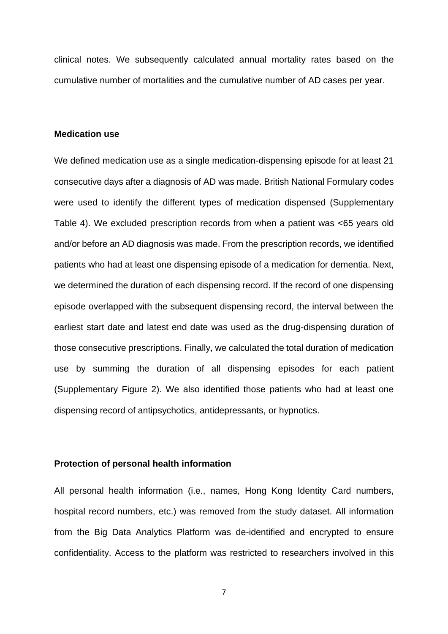clinical notes. We subsequently calculated annual mortality rates based on the cumulative number of mortalities and the cumulative number of AD cases per year.

# **Medication use**

We defined medication use as a single medication-dispensing episode for at least 21 consecutive days after a diagnosis of AD was made. British National Formulary codes were used to identify the different types of medication dispensed (Supplementary Table 4). We excluded prescription records from when a patient was <65 years old and/or before an AD diagnosis was made. From the prescription records, we identified patients who had at least one dispensing episode of a medication for dementia. Next, we determined the duration of each dispensing record. If the record of one dispensing episode overlapped with the subsequent dispensing record, the interval between the earliest start date and latest end date was used as the drug-dispensing duration of those consecutive prescriptions. Finally, we calculated the total duration of medication use by summing the duration of all dispensing episodes for each patient (Supplementary Figure 2). We also identified those patients who had at least one dispensing record of antipsychotics, antidepressants, or hypnotics.

#### **Protection of personal health information**

All personal health information (i.e., names, Hong Kong Identity Card numbers, hospital record numbers, etc.) was removed from the study dataset. All information from the Big Data Analytics Platform was de-identified and encrypted to ensure confidentiality. Access to the platform was restricted to researchers involved in this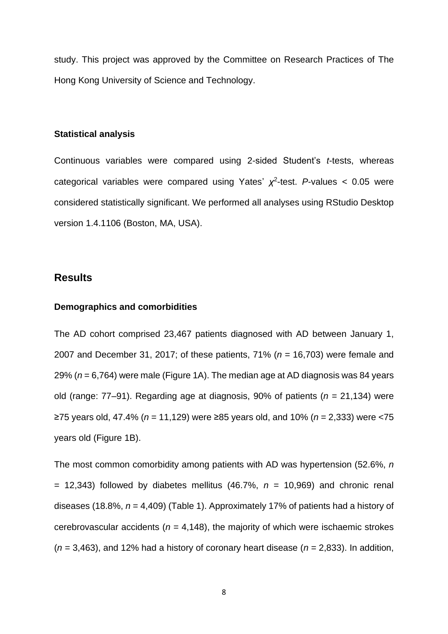study. This project was approved by the Committee on Research Practices of The Hong Kong University of Science and Technology.

#### **Statistical analysis**

Continuous variables were compared using 2-sided Student's *t*-tests, whereas categorical variables were compared using Yates'  $\chi^2$ -test. *P*-values < 0.05 were considered statistically significant. We performed all analyses using RStudio Desktop version 1.4.1106 (Boston, MA, USA).

# **Results**

#### **Demographics and comorbidities**

The AD cohort comprised 23,467 patients diagnosed with AD between January 1, 2007 and December 31, 2017; of these patients, 71% (*n* = 16,703) were female and 29% (*n* = 6,764) were male (Figure 1A). The median age at AD diagnosis was 84 years old (range: 77–91). Regarding age at diagnosis, 90% of patients (*n* = 21,134) were ≥75 years old, 47.4% (*n* = 11,129) were ≥85 years old, and 10% (*n* = 2,333) were <75 years old (Figure 1B).

The most common comorbidity among patients with AD was hypertension (52.6%, *n*  $=$  12,343) followed by diabetes mellitus (46.7%,  $n = 10,969$ ) and chronic renal diseases (18.8%, *n* = 4,409) (Table 1). Approximately 17% of patients had a history of cerebrovascular accidents ( $n = 4,148$ ), the majority of which were ischaemic strokes  $(n = 3,463)$ , and 12% had a history of coronary heart disease  $(n = 2,833)$ . In addition,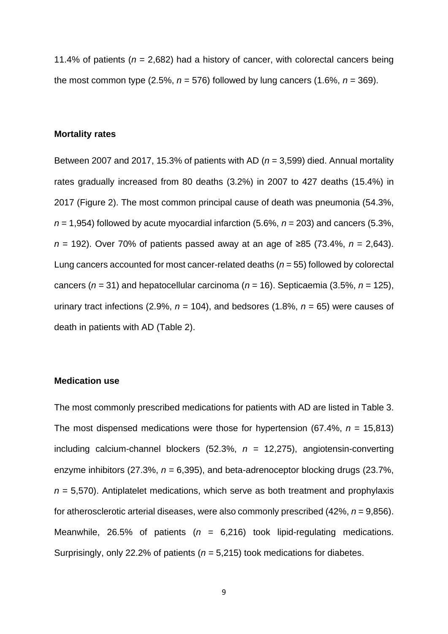11.4% of patients ( $n = 2,682$ ) had a history of cancer, with colorectal cancers being the most common type  $(2.5\%, n = 576)$  followed by lung cancers  $(1.6\%, n = 369)$ .

#### **Mortality rates**

Between 2007 and 2017, 15.3% of patients with AD (*n* = 3,599) died. Annual mortality rates gradually increased from 80 deaths (3.2%) in 2007 to 427 deaths (15.4%) in 2017 (Figure 2). The most common principal cause of death was pneumonia (54.3%,  $n = 1,954$ ) followed by acute myocardial infarction (5.6%,  $n = 203$ ) and cancers (5.3%, *n* = 192). Over 70% of patients passed away at an age of ≥85 (73.4%, *n* = 2,643). Lung cancers accounted for most cancer-related deaths (*n* = 55) followed by colorectal cancers (*n* = 31) and hepatocellular carcinoma (*n* = 16). Septicaemia (3.5%, *n* = 125), urinary tract infections (2.9%,  $n = 104$ ), and bedsores (1.8%,  $n = 65$ ) were causes of death in patients with AD (Table 2).

#### **Medication use**

The most commonly prescribed medications for patients with AD are listed in Table 3. The most dispensed medications were those for hypertension (67.4%, *n* = 15,813) including calcium-channel blockers (52.3%, *n* = 12,275), angiotensin-converting enzyme inhibitors (27.3%, *n* = 6,395), and beta-adrenoceptor blocking drugs (23.7%, *n* = 5,570). Antiplatelet medications, which serve as both treatment and prophylaxis for atherosclerotic arterial diseases, were also commonly prescribed (42%, *n* = 9,856). Meanwhile, 26.5% of patients (*n* = 6,216) took lipid-regulating medications. Surprisingly, only 22.2% of patients (*n* = 5,215) took medications for diabetes.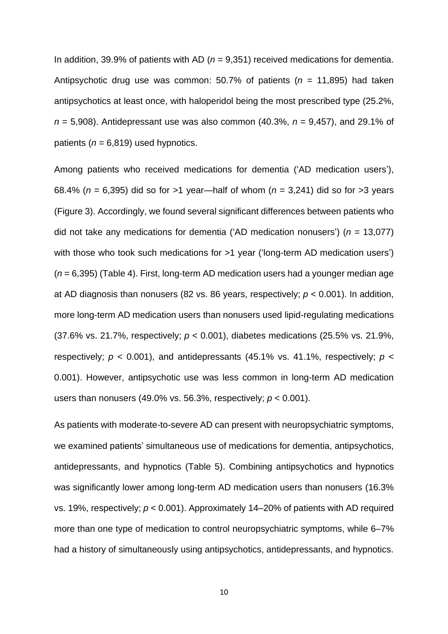In addition, 39.9% of patients with AD (*n* = 9,351) received medications for dementia. Antipsychotic drug use was common: 50.7% of patients (*n* = 11,895) had taken antipsychotics at least once, with haloperidol being the most prescribed type (25.2%, *n* = 5,908). Antidepressant use was also common (40.3%, *n* = 9,457), and 29.1% of patients ( $n = 6,819$ ) used hypnotics.

Among patients who received medications for dementia ('AD medication users'), 68.4% (*n* = 6,395) did so for >1 year—half of whom (*n* = 3,241) did so for >3 years (Figure 3). Accordingly, we found several significant differences between patients who did not take any medications for dementia ('AD medication nonusers') (*n* = 13,077) with those who took such medications for >1 year ('long-term AD medication users') (*n* = 6,395) (Table 4). First, long-term AD medication users had a younger median age at AD diagnosis than nonusers (82 vs. 86 years, respectively; *p* < 0.001). In addition, more long-term AD medication users than nonusers used lipid-regulating medications (37.6% vs. 21.7%, respectively; *p* < 0.001), diabetes medications (25.5% vs. 21.9%, respectively;  $p < 0.001$ ), and antidepressants (45.1% vs. 41.1%, respectively;  $p <$ 0.001). However, antipsychotic use was less common in long-term AD medication users than nonusers (49.0% vs. 56.3%, respectively; *p* < 0.001).

As patients with moderate-to-severe AD can present with neuropsychiatric symptoms, we examined patients' simultaneous use of medications for dementia, antipsychotics, antidepressants, and hypnotics (Table 5). Combining antipsychotics and hypnotics was significantly lower among long-term AD medication users than nonusers (16.3% vs. 19%, respectively; *p* < 0.001). Approximately 14–20% of patients with AD required more than one type of medication to control neuropsychiatric symptoms, while 6–7% had a history of simultaneously using antipsychotics, antidepressants, and hypnotics.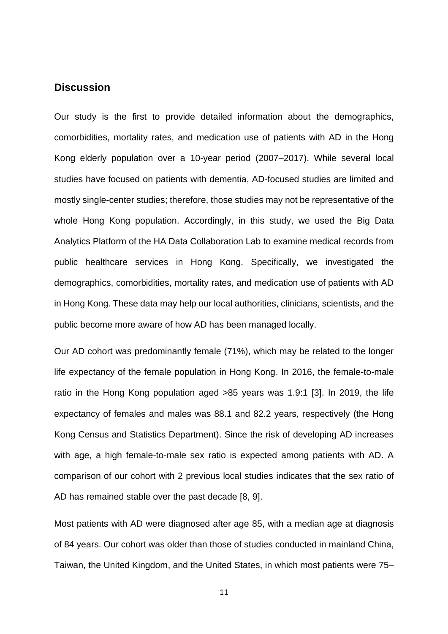# **Discussion**

Our study is the first to provide detailed information about the demographics, comorbidities, mortality rates, and medication use of patients with AD in the Hong Kong elderly population over a 10-year period (2007–2017). While several local studies have focused on patients with dementia, AD-focused studies are limited and mostly single-center studies; therefore, those studies may not be representative of the whole Hong Kong population. Accordingly, in this study, we used the Big Data Analytics Platform of the HA Data Collaboration Lab to examine medical records from public healthcare services in Hong Kong. Specifically, we investigated the demographics, comorbidities, mortality rates, and medication use of patients with AD in Hong Kong. These data may help our local authorities, clinicians, scientists, and the public become more aware of how AD has been managed locally.

Our AD cohort was predominantly female (71%), which may be related to the longer life expectancy of the female population in Hong Kong. In 2016, the female-to-male ratio in the Hong Kong population aged >85 years was 1.9:1 [3]. In 2019, the life expectancy of females and males was 88.1 and 82.2 years, respectively (the Hong Kong Census and Statistics Department). Since the risk of developing AD increases with age, a high female-to-male sex ratio is expected among patients with AD. A comparison of our cohort with 2 previous local studies indicates that the sex ratio of AD has remained stable over the past decade [8, 9].

Most patients with AD were diagnosed after age 85, with a median age at diagnosis of 84 years. Our cohort was older than those of studies conducted in mainland China, Taiwan, the United Kingdom, and the United States, in which most patients were 75–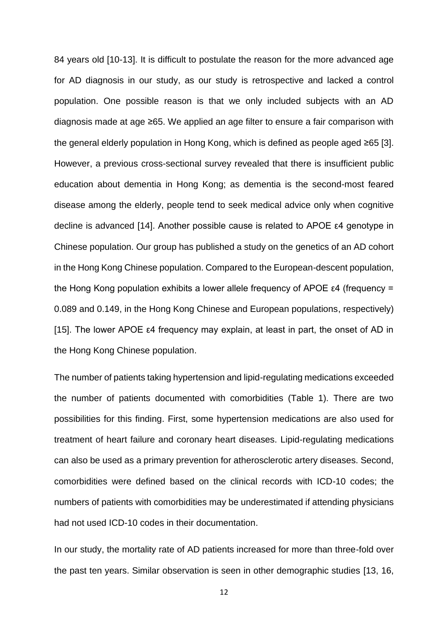84 years old [10-13]. It is difficult to postulate the reason for the more advanced age for AD diagnosis in our study, as our study is retrospective and lacked a control population. One possible reason is that we only included subjects with an AD diagnosis made at age ≥65. We applied an age filter to ensure a fair comparison with the general elderly population in Hong Kong, which is defined as people aged ≥65 [3]. However, a previous cross-sectional survey revealed that there is insufficient public education about dementia in Hong Kong; as dementia is the second-most feared disease among the elderly, people tend to seek medical advice only when cognitive decline is advanced [14]. Another possible cause is related to APOE ε4 genotype in Chinese population. Our group has published a study on the genetics of an AD cohort in the Hong Kong Chinese population. Compared to the European-descent population, the Hong Kong population exhibits a lower allele frequency of APOE ε4 (frequency = 0.089 and 0.149, in the Hong Kong Chinese and European populations, respectively) [15]. The lower APOE ε4 frequency may explain, at least in part, the onset of AD in the Hong Kong Chinese population.

The number of patients taking hypertension and lipid-regulating medications exceeded the number of patients documented with comorbidities (Table 1). There are two possibilities for this finding. First, some hypertension medications are also used for treatment of heart failure and coronary heart diseases. Lipid-regulating medications can also be used as a primary prevention for atherosclerotic artery diseases. Second, comorbidities were defined based on the clinical records with ICD-10 codes; the numbers of patients with comorbidities may be underestimated if attending physicians had not used ICD-10 codes in their documentation.

In our study, the mortality rate of AD patients increased for more than three-fold over the past ten years. Similar observation is seen in other demographic studies [13, 16,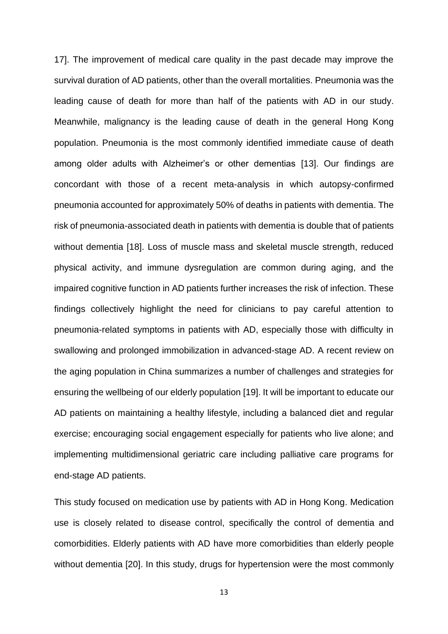17]. The improvement of medical care quality in the past decade may improve the survival duration of AD patients, other than the overall mortalities. Pneumonia was the leading cause of death for more than half of the patients with AD in our study. Meanwhile, malignancy is the leading cause of death in the general Hong Kong population. Pneumonia is the most commonly identified immediate cause of death among older adults with Alzheimer's or other dementias [13]. Our findings are concordant with those of a recent meta-analysis in which autopsy-confirmed pneumonia accounted for approximately 50% of deaths in patients with dementia. The risk of pneumonia-associated death in patients with dementia is double that of patients without dementia [18]. Loss of muscle mass and skeletal muscle strength, reduced physical activity, and immune dysregulation are common during aging, and the impaired cognitive function in AD patients further increases the risk of infection. These findings collectively highlight the need for clinicians to pay careful attention to pneumonia-related symptoms in patients with AD, especially those with difficulty in swallowing and prolonged immobilization in advanced-stage AD. A recent review on the aging population in China summarizes a number of challenges and strategies for ensuring the wellbeing of our elderly population [19]. It will be important to educate our AD patients on maintaining a healthy lifestyle, including a balanced diet and regular exercise; encouraging social engagement especially for patients who live alone; and implementing multidimensional geriatric care including palliative care programs for end-stage AD patients.

This study focused on medication use by patients with AD in Hong Kong. Medication use is closely related to disease control, specifically the control of dementia and comorbidities. Elderly patients with AD have more comorbidities than elderly people without dementia [20]. In this study, drugs for hypertension were the most commonly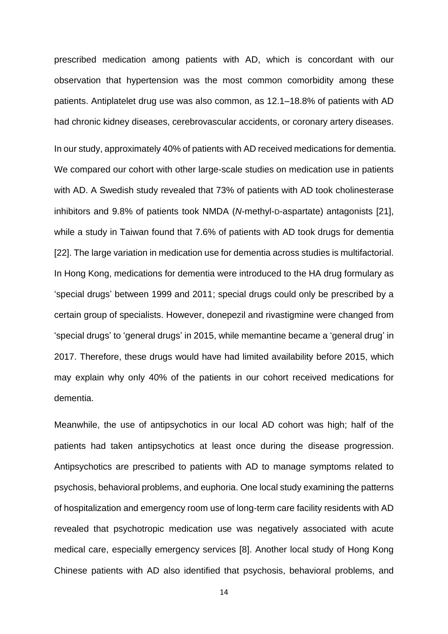prescribed medication among patients with AD, which is concordant with our observation that hypertension was the most common comorbidity among these patients. Antiplatelet drug use was also common, as 12.1–18.8% of patients with AD had chronic kidney diseases, cerebrovascular accidents, or coronary artery diseases.

In our study, approximately 40% of patients with AD received medications for dementia. We compared our cohort with other large-scale studies on medication use in patients with AD. A Swedish study revealed that 73% of patients with AD took cholinesterase inhibitors and 9.8% of patients took NMDA (*N*-methyl-D-aspartate) antagonists [21], while a study in Taiwan found that 7.6% of patients with AD took drugs for dementia [22]. The large variation in medication use for dementia across studies is multifactorial. In Hong Kong, medications for dementia were introduced to the HA drug formulary as 'special drugs' between 1999 and 2011; special drugs could only be prescribed by a certain group of specialists. However, donepezil and rivastigmine were changed from 'special drugs' to 'general drugs' in 2015, while memantine became a 'general drug' in 2017. Therefore, these drugs would have had limited availability before 2015, which may explain why only 40% of the patients in our cohort received medications for dementia.

Meanwhile, the use of antipsychotics in our local AD cohort was high; half of the patients had taken antipsychotics at least once during the disease progression. Antipsychotics are prescribed to patients with AD to manage symptoms related to psychosis, behavioral problems, and euphoria. One local study examining the patterns of hospitalization and emergency room use of long-term care facility residents with AD revealed that psychotropic medication use was negatively associated with acute medical care, especially emergency services [8]. Another local study of Hong Kong Chinese patients with AD also identified that psychosis, behavioral problems, and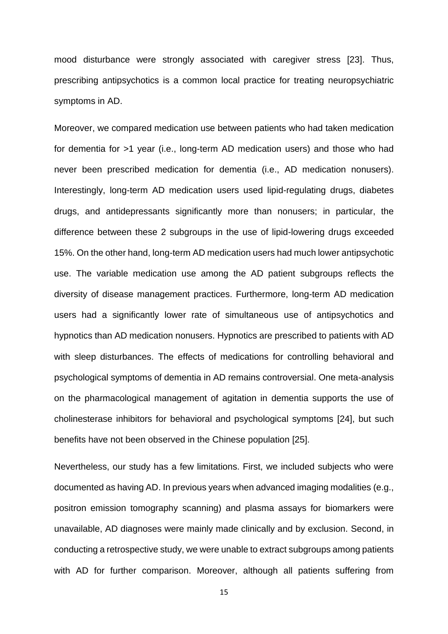mood disturbance were strongly associated with caregiver stress [23]. Thus, prescribing antipsychotics is a common local practice for treating neuropsychiatric symptoms in AD.

Moreover, we compared medication use between patients who had taken medication for dementia for >1 year (i.e., long-term AD medication users) and those who had never been prescribed medication for dementia (i.e., AD medication nonusers). Interestingly, long-term AD medication users used lipid-regulating drugs, diabetes drugs, and antidepressants significantly more than nonusers; in particular, the difference between these 2 subgroups in the use of lipid-lowering drugs exceeded 15%. On the other hand, long-term AD medication users had much lower antipsychotic use. The variable medication use among the AD patient subgroups reflects the diversity of disease management practices. Furthermore, long-term AD medication users had a significantly lower rate of simultaneous use of antipsychotics and hypnotics than AD medication nonusers. Hypnotics are prescribed to patients with AD with sleep disturbances. The effects of medications for controlling behavioral and psychological symptoms of dementia in AD remains controversial. One meta-analysis on the pharmacological management of agitation in dementia supports the use of cholinesterase inhibitors for behavioral and psychological symptoms [24], but such benefits have not been observed in the Chinese population [25].

Nevertheless, our study has a few limitations. First, we included subjects who were documented as having AD. In previous years when advanced imaging modalities (e.g., positron emission tomography scanning) and plasma assays for biomarkers were unavailable, AD diagnoses were mainly made clinically and by exclusion. Second, in conducting a retrospective study, we were unable to extract subgroups among patients with AD for further comparison. Moreover, although all patients suffering from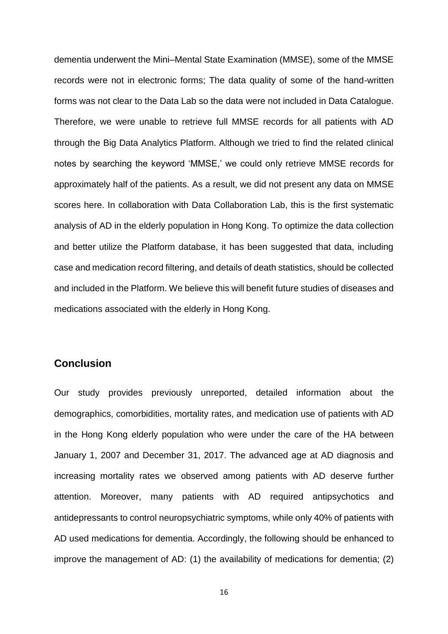dementia underwent the Mini–Mental State Examination (MMSE), some of the MMSE records were not in electronic forms; The data quality of some of the hand-written forms was not clear to the Data Lab so the data were not included in Data Catalogue. Therefore, we were unable to retrieve full MMSE records for all patients with AD through the Big Data Analytics Platform. Although we tried to find the related clinical notes by searching the keyword 'MMSE,' we could only retrieve MMSE records for approximately half of the patients. As a result, we did not present any data on MMSE scores here. In collaboration with Data Collaboration Lab, this is the first systematic analysis of AD in the elderly population in Hong Kong. To optimize the data collection and better utilize the Platform database, it has been suggested that data, including case and medication record filtering, and details of death statistics, should be collected and included in the Platform. We believe this will benefit future studies of diseases and medications associated with the elderly in Hong Kong.

# **Conclusion**

Our study provides previously unreported, detailed information about the demographics, comorbidities, mortality rates, and medication use of patients with AD in the Hong Kong elderly population who were under the care of the HA between January 1, 2007 and December 31, 2017. The advanced age at AD diagnosis and increasing mortality rates we observed among patients with AD deserve further attention. Moreover, many patients with AD required antipsychotics and antidepressants to control neuropsychiatric symptoms, while only 40% of patients with AD used medications for dementia. Accordingly, the following should be enhanced to improve the management of AD: (1) the availability of medications for dementia; (2)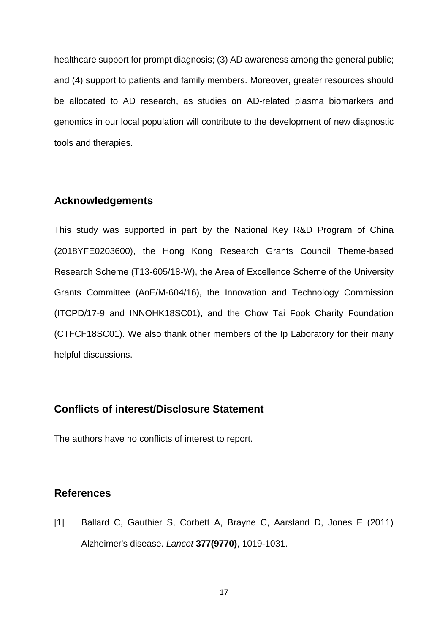healthcare support for prompt diagnosis; (3) AD awareness among the general public; and (4) support to patients and family members. Moreover, greater resources should be allocated to AD research, as studies on AD-related plasma biomarkers and genomics in our local population will contribute to the development of new diagnostic tools and therapies.

# **Acknowledgements**

This study was supported in part by the National Key R&D Program of China (2018YFE0203600), the Hong Kong Research Grants Council Theme-based Research Scheme (T13-605/18-W), the Area of Excellence Scheme of the University Grants Committee (AoE/M-604/16), the Innovation and Technology Commission (ITCPD/17-9 and INNOHK18SC01), and the Chow Tai Fook Charity Foundation (CTFCF18SC01). We also thank other members of the Ip Laboratory for their many helpful discussions.

# **Conflicts of interest/Disclosure Statement**

The authors have no conflicts of interest to report.

# **References**

[1] Ballard C, Gauthier S, Corbett A, Brayne C, Aarsland D, Jones E (2011) Alzheimer's disease. *Lancet* **377(9770)**, 1019-1031.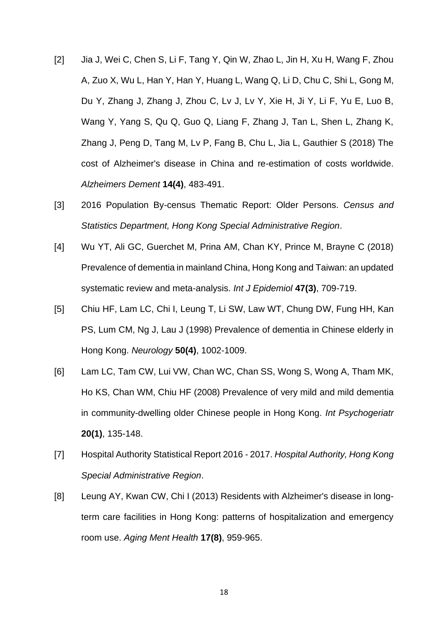- [2] Jia J, Wei C, Chen S, Li F, Tang Y, Qin W, Zhao L, Jin H, Xu H, Wang F, Zhou A, Zuo X, Wu L, Han Y, Han Y, Huang L, Wang Q, Li D, Chu C, Shi L, Gong M, Du Y, Zhang J, Zhang J, Zhou C, Lv J, Lv Y, Xie H, Ji Y, Li F, Yu E, Luo B, Wang Y, Yang S, Qu Q, Guo Q, Liang F, Zhang J, Tan L, Shen L, Zhang K, Zhang J, Peng D, Tang M, Lv P, Fang B, Chu L, Jia L, Gauthier S (2018) The cost of Alzheimer's disease in China and re-estimation of costs worldwide. *Alzheimers Dement* **14(4)**, 483-491.
- [3] 2016 Population By-census Thematic Report: Older Persons. *Census and Statistics Department, Hong Kong Special Administrative Region*.
- [4] Wu YT, Ali GC, Guerchet M, Prina AM, Chan KY, Prince M, Brayne C (2018) Prevalence of dementia in mainland China, Hong Kong and Taiwan: an updated systematic review and meta-analysis. *Int J Epidemiol* **47(3)**, 709-719.
- [5] Chiu HF, Lam LC, Chi I, Leung T, Li SW, Law WT, Chung DW, Fung HH, Kan PS, Lum CM, Ng J, Lau J (1998) Prevalence of dementia in Chinese elderly in Hong Kong. *Neurology* **50(4)**, 1002-1009.
- [6] Lam LC, Tam CW, Lui VW, Chan WC, Chan SS, Wong S, Wong A, Tham MK, Ho KS, Chan WM, Chiu HF (2008) Prevalence of very mild and mild dementia in community-dwelling older Chinese people in Hong Kong. *Int Psychogeriatr* **20(1)**, 135-148.
- [7] Hospital Authority Statistical Report 2016 2017. *Hospital Authority, Hong Kong Special Administrative Region*.
- [8] Leung AY, Kwan CW, Chi I (2013) Residents with Alzheimer's disease in longterm care facilities in Hong Kong: patterns of hospitalization and emergency room use. *Aging Ment Health* **17(8)**, 959-965.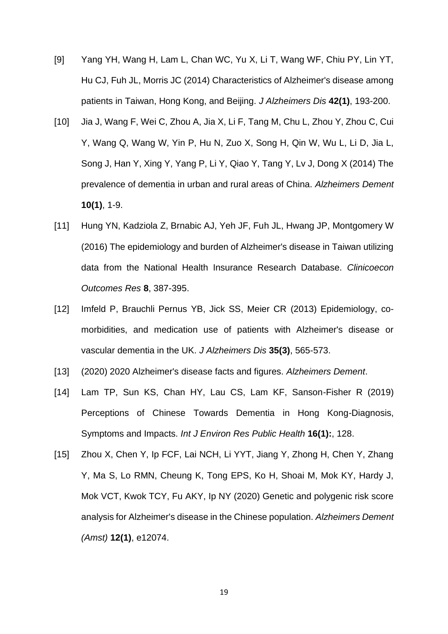- [9] Yang YH, Wang H, Lam L, Chan WC, Yu X, Li T, Wang WF, Chiu PY, Lin YT, Hu CJ, Fuh JL, Morris JC (2014) Characteristics of Alzheimer's disease among patients in Taiwan, Hong Kong, and Beijing. *J Alzheimers Dis* **42(1)**, 193-200.
- [10] Jia J, Wang F, Wei C, Zhou A, Jia X, Li F, Tang M, Chu L, Zhou Y, Zhou C, Cui Y, Wang Q, Wang W, Yin P, Hu N, Zuo X, Song H, Qin W, Wu L, Li D, Jia L, Song J, Han Y, Xing Y, Yang P, Li Y, Qiao Y, Tang Y, Lv J, Dong X (2014) The prevalence of dementia in urban and rural areas of China. *Alzheimers Dement* **10(1)**, 1-9.
- [11] Hung YN, Kadziola Z, Brnabic AJ, Yeh JF, Fuh JL, Hwang JP, Montgomery W (2016) The epidemiology and burden of Alzheimer's disease in Taiwan utilizing data from the National Health Insurance Research Database. *Clinicoecon Outcomes Res* **8**, 387-395.
- [12] Imfeld P, Brauchli Pernus YB, Jick SS, Meier CR (2013) Epidemiology, comorbidities, and medication use of patients with Alzheimer's disease or vascular dementia in the UK. *J Alzheimers Dis* **35(3)**, 565-573.
- [13] (2020) 2020 Alzheimer's disease facts and figures. *Alzheimers Dement*.
- [14] Lam TP, Sun KS, Chan HY, Lau CS, Lam KF, Sanson-Fisher R (2019) Perceptions of Chinese Towards Dementia in Hong Kong-Diagnosis, Symptoms and Impacts. *Int J Environ Res Public Health* **16(1):**, 128.
- [15] Zhou X, Chen Y, Ip FCF, Lai NCH, Li YYT, Jiang Y, Zhong H, Chen Y, Zhang Y, Ma S, Lo RMN, Cheung K, Tong EPS, Ko H, Shoai M, Mok KY, Hardy J, Mok VCT, Kwok TCY, Fu AKY, Ip NY (2020) Genetic and polygenic risk score analysis for Alzheimer's disease in the Chinese population. *Alzheimers Dement (Amst)* **12(1)**, e12074.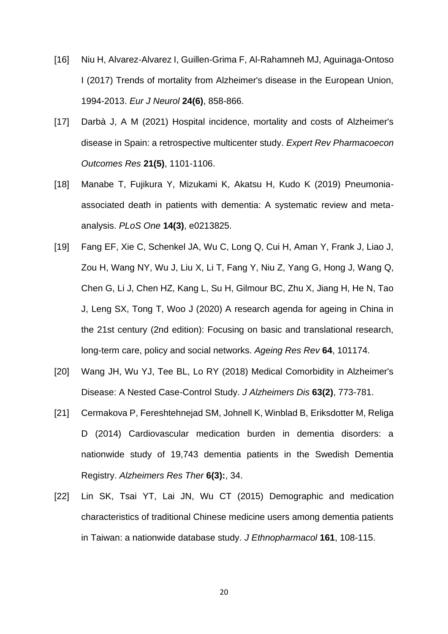- [16] Niu H, Alvarez-Alvarez I, Guillen-Grima F, Al-Rahamneh MJ, Aguinaga-Ontoso I (2017) Trends of mortality from Alzheimer's disease in the European Union, 1994-2013. *Eur J Neurol* **24(6)**, 858-866.
- [17] Darbà J, A M (2021) Hospital incidence, mortality and costs of Alzheimer's disease in Spain: a retrospective multicenter study. *Expert Rev Pharmacoecon Outcomes Res* **21(5)**, 1101-1106.
- [18] Manabe T, Fujikura Y, Mizukami K, Akatsu H, Kudo K (2019) Pneumoniaassociated death in patients with dementia: A systematic review and metaanalysis. *PLoS One* **14(3)**, e0213825.
- [19] Fang EF, Xie C, Schenkel JA, Wu C, Long Q, Cui H, Aman Y, Frank J, Liao J, Zou H, Wang NY, Wu J, Liu X, Li T, Fang Y, Niu Z, Yang G, Hong J, Wang Q, Chen G, Li J, Chen HZ, Kang L, Su H, Gilmour BC, Zhu X, Jiang H, He N, Tao J, Leng SX, Tong T, Woo J (2020) A research agenda for ageing in China in the 21st century (2nd edition): Focusing on basic and translational research, long-term care, policy and social networks. *Ageing Res Rev* **64**, 101174.
- [20] Wang JH, Wu YJ, Tee BL, Lo RY (2018) Medical Comorbidity in Alzheimer's Disease: A Nested Case-Control Study. *J Alzheimers Dis* **63(2)**, 773-781.
- [21] Cermakova P, Fereshtehnejad SM, Johnell K, Winblad B, Eriksdotter M, Religa D (2014) Cardiovascular medication burden in dementia disorders: a nationwide study of 19,743 dementia patients in the Swedish Dementia Registry. *Alzheimers Res Ther* **6(3):**, 34.
- [22] Lin SK, Tsai YT, Lai JN, Wu CT (2015) Demographic and medication characteristics of traditional Chinese medicine users among dementia patients in Taiwan: a nationwide database study. *J Ethnopharmacol* **161**, 108-115.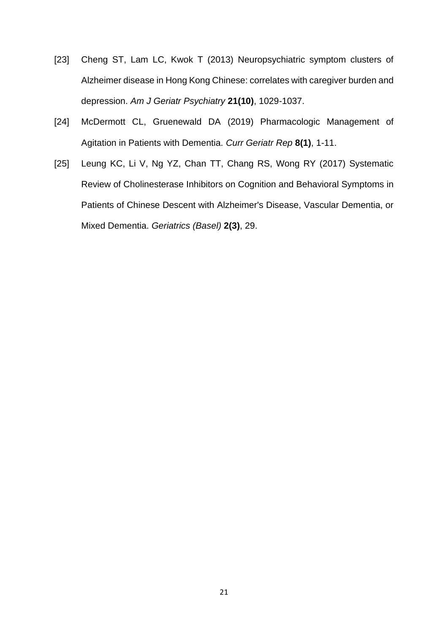- [23] Cheng ST, Lam LC, Kwok T (2013) Neuropsychiatric symptom clusters of Alzheimer disease in Hong Kong Chinese: correlates with caregiver burden and depression. *Am J Geriatr Psychiatry* **21(10)**, 1029-1037.
- [24] McDermott CL, Gruenewald DA (2019) Pharmacologic Management of Agitation in Patients with Dementia. *Curr Geriatr Rep* **8(1)**, 1-11.
- [25] Leung KC, Li V, Ng YZ, Chan TT, Chang RS, Wong RY (2017) Systematic Review of Cholinesterase Inhibitors on Cognition and Behavioral Symptoms in Patients of Chinese Descent with Alzheimer's Disease, Vascular Dementia, or Mixed Dementia. *Geriatrics (Basel)* **2(3)**, 29.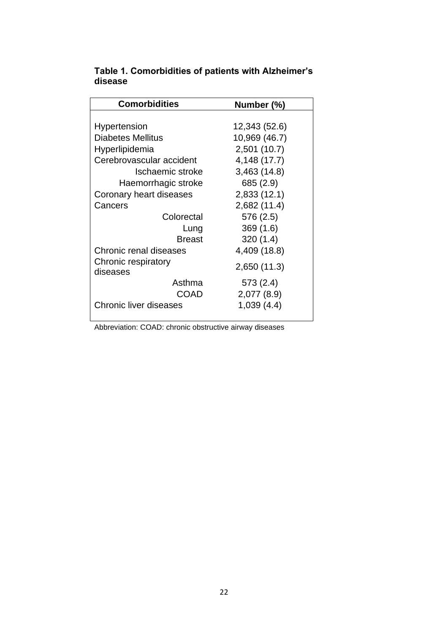| <b>Comorbidities</b>            | Number (%)    |
|---------------------------------|---------------|
|                                 |               |
| Hypertension                    | 12,343 (52.6) |
| Diabetes Mellitus               | 10,969 (46.7) |
| Hyperlipidemia                  | 2,501 (10.7)  |
| Cerebrovascular accident        | 4,148 (17.7)  |
| Ischaemic stroke                | 3,463(14.8)   |
| Haemorrhagic stroke             | 685 (2.9)     |
| Coronary heart diseases         | 2,833 (12.1)  |
| Cancers                         | 2,682 (11.4)  |
| Colorectal                      | 576 (2.5)     |
| Lung                            | 369(1.6)      |
| <b>Breast</b>                   | 320(1.4)      |
| Chronic renal diseases          | 4,409 (18.8)  |
| Chronic respiratory<br>diseases | 2,650 (11.3)  |
| Asthma                          | 573(2.4)      |
| COAD                            | 2,077 (8.9)   |
| <b>Chronic liver diseases</b>   | 1,039 (4.4)   |

# **Table 1. Comorbidities of patients with Alzheimer's disease**

Abbreviation: COAD: chronic obstructive airway diseases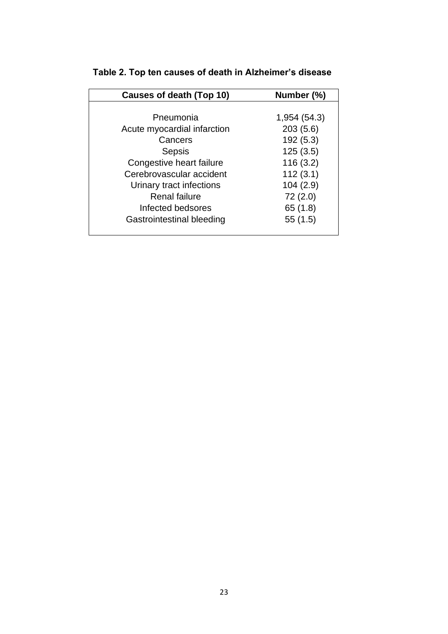| <b>Causes of death (Top 10)</b> | Number (%)   |
|---------------------------------|--------------|
|                                 |              |
| Pneumonia                       | 1,954 (54.3) |
| Acute myocardial infarction     | 203(5.6)     |
| Cancers                         | 192 (5.3)    |
| Sepsis                          | 125(3.5)     |
| Congestive heart failure        | 116(3.2)     |
| Cerebrovascular accident        | 112(3.1)     |
| Urinary tract infections        | 104(2.9)     |
| <b>Renal failure</b>            | 72(2.0)      |
| Infected bedsores               | 65 (1.8)     |
| Gastrointestinal bleeding       | 55 (1.5)     |

# **Table 2. Top ten causes of death in Alzheimer's disease**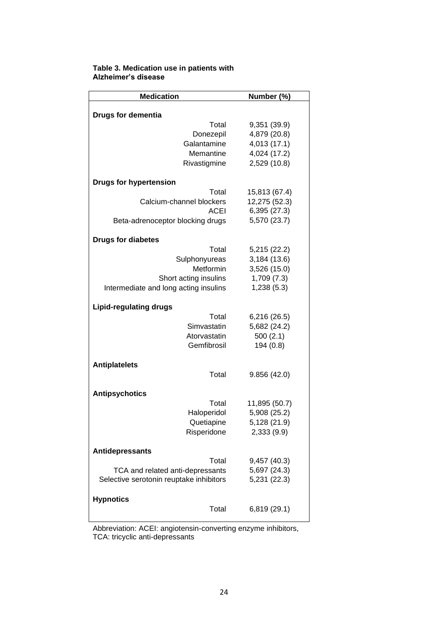| <b>Medication</b>                       | Number (%)    |  |  |  |
|-----------------------------------------|---------------|--|--|--|
| <b>Drugs for dementia</b>               |               |  |  |  |
| Total                                   | 9,351 (39.9)  |  |  |  |
| Donezepil                               | 4,879 (20.8)  |  |  |  |
| Galantamine                             | 4,013 (17.1)  |  |  |  |
| Memantine                               | 4,024 (17.2)  |  |  |  |
| Rivastigmine                            | 2,529 (10.8)  |  |  |  |
| <b>Drugs for hypertension</b>           |               |  |  |  |
| Total                                   | 15,813 (67.4) |  |  |  |
| Calcium-channel blockers                | 12,275 (52.3) |  |  |  |
| <b>ACEI</b>                             | 6,395 (27.3)  |  |  |  |
| Beta-adrenoceptor blocking drugs        | 5,570 (23.7)  |  |  |  |
| <b>Drugs for diabetes</b>               |               |  |  |  |
| Total                                   | 5,215 (22.2)  |  |  |  |
| Sulphonyureas                           | 3,184 (13.6)  |  |  |  |
| Metformin                               | 3,526 (15.0)  |  |  |  |
| Short acting insulins                   | 1,709(7.3)    |  |  |  |
| Intermediate and long acting insulins   | 1,238(5.3)    |  |  |  |
| <b>Lipid-regulating drugs</b>           |               |  |  |  |
| Total                                   | 6,216 (26.5)  |  |  |  |
| Simvastatin                             | 5,682 (24.2)  |  |  |  |
| Atorvastatin                            | 500(2.1)      |  |  |  |
| Gemfibrosil                             | 194 (0.8)     |  |  |  |
| <b>Antiplatelets</b>                    |               |  |  |  |
| Total                                   | 9.856(42.0)   |  |  |  |
| <b>Antipsychotics</b>                   |               |  |  |  |
| Total                                   | 11,895 (50.7) |  |  |  |
| Haloperidol                             | 5,908 (25.2)  |  |  |  |
| Quetiapine                              | 5,128 (21.9)  |  |  |  |
| Risperidone                             | 2,333 (9.9)   |  |  |  |
| Antidepressants                         |               |  |  |  |
| Total                                   | 9,457 (40.3)  |  |  |  |
| TCA and related anti-depressants        | 5,697 (24.3)  |  |  |  |
| Selective serotonin reuptake inhibitors | 5,231 (22.3)  |  |  |  |
| <b>Hypnotics</b>                        |               |  |  |  |
| Total                                   | 6,819 (29.1)  |  |  |  |
|                                         |               |  |  |  |

#### **Table 3. Medication use in patients with Alzheimer's disease**

Abbreviation: ACEI: angiotensin-converting enzyme inhibitors, TCA: tricyclic anti-depressants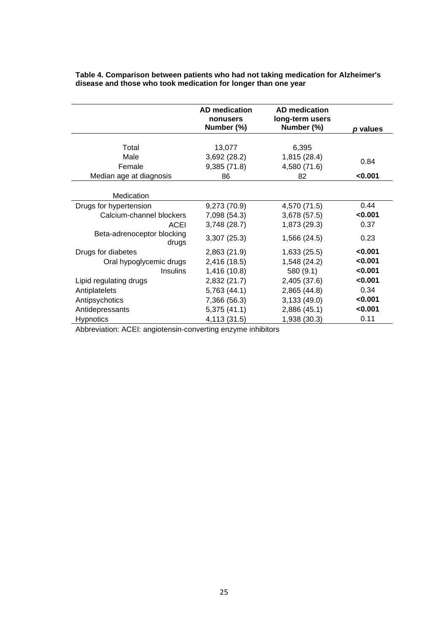|                                                    | <b>AD</b> medication<br>nonusers<br>Number (%) | <b>AD</b> medication<br>long-term users<br>Number (%) | p values        |
|----------------------------------------------------|------------------------------------------------|-------------------------------------------------------|-----------------|
| Total<br>Male<br>Female<br>Median age at diagnosis | 13,077<br>3,692 (28.2)<br>9,385(71.8)<br>86    | 6,395<br>1,815 (28.4)<br>4,580 (71.6)<br>82           | 0.84<br>< 0.001 |
| Medication                                         |                                                |                                                       |                 |
| Drugs for hypertension                             | 9,273 (70.9)                                   | 4,570 (71.5)                                          | 0.44            |
| Calcium-channel blockers                           | 7,098 (54.3)                                   | 3,678 (57.5)                                          | < 0.001         |
| ACEI                                               | 3,748 (28.7)                                   | 1,873 (29.3)                                          | 0.37            |
| Beta-adrenoceptor blocking<br>drugs                | 3,307(25.3)                                    | 1,566 (24.5)                                          | 0.23            |
| Drugs for diabetes                                 | 2,863 (21.9)                                   | 1,633(25.5)                                           | < 0.001         |
| Oral hypoglycemic drugs                            | 2,416 (18.5)                                   | 1,548 (24.2)                                          | 0.001           |
| <b>Insulins</b>                                    | 1,416 (10.8)                                   | 580 (9.1)                                             | < 0.001         |
| Lipid regulating drugs                             | 2,832 (21.7)                                   | 2,405 (37.6)                                          | 0.001           |
| Antiplatelets                                      | 5,763(44.1)                                    | 2,865(44.8)                                           | 0.34            |
| Antipsychotics                                     | 7,366 (56.3)                                   | 3,133(49.0)                                           | 0.001           |
| Antidepressants                                    | 5,375(41.1)                                    | 2,886 (45.1)                                          | < 0.001         |
| <b>Hypnotics</b>                                   | 4,113 (31.5)                                   | 1,938 (30.3)                                          | 0.11            |

**Table 4. Comparison between patients who had not taking medication for Alzheimer's disease and those who took medication for longer than one year**

Abbreviation: ACEI: angiotensin-converting enzyme inhibitors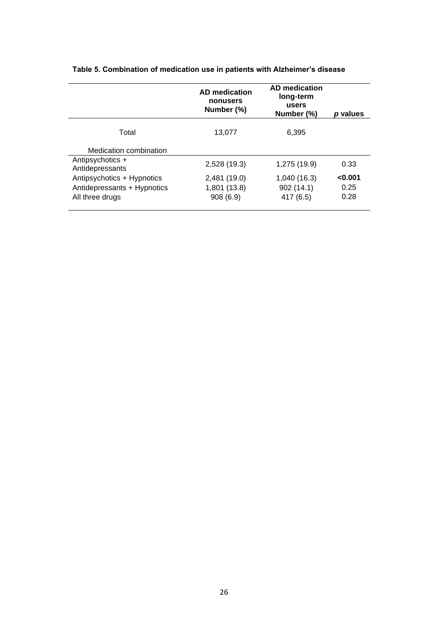|                                     | <b>AD</b> medication<br>nonusers<br>Number (%) | <b>AD</b> medication<br>long-term<br>users<br>Number (%) | p values |
|-------------------------------------|------------------------------------------------|----------------------------------------------------------|----------|
| Total                               | 13.077                                         | 6.395                                                    |          |
| Medication combination              |                                                |                                                          |          |
| Antipsychotics +<br>Antidepressants | 2,528 (19.3)                                   | 1,275 (19.9)                                             | 0.33     |
| Antipsychotics + Hypnotics          | 2,481 (19.0)                                   | 1,040 (16.3)                                             | < 0.001  |
| Antidepressants + Hypnotics         | 1,801 (13.8)                                   | 902 (14.1)                                               | 0.25     |
| All three drugs                     | 908(6.9)                                       | 417 (6.5)                                                | 0.28     |

**Table 5. Combination of medication use in patients with Alzheimer's disease**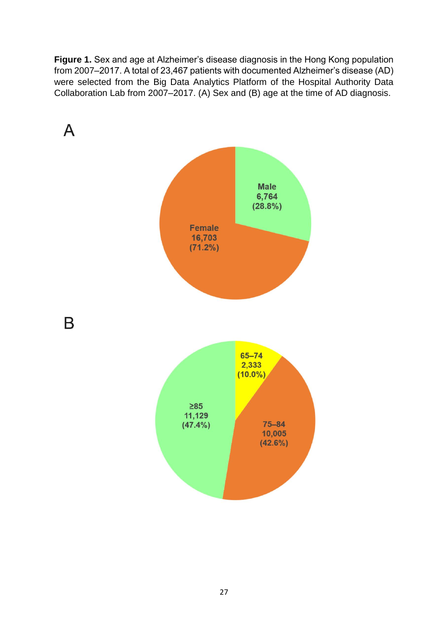**Figure 1.** Sex and age at Alzheimer's disease diagnosis in the Hong Kong population from 2007–2017. A total of 23,467 patients with documented Alzheimer's disease (AD) were selected from the Big Data Analytics Platform of the Hospital Authority Data Collaboration Lab from 2007–2017. (A) Sex and (B) age at the time of AD diagnosis.

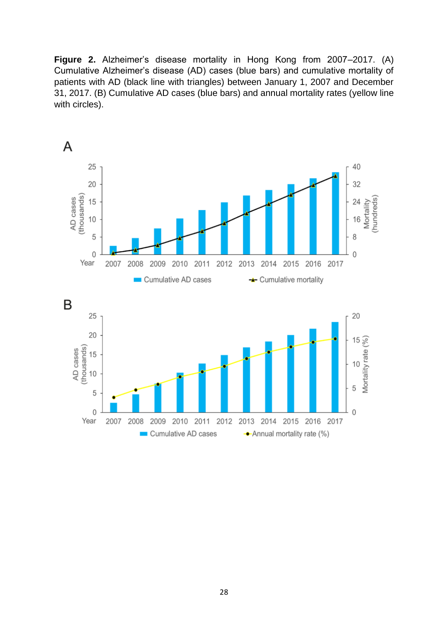**Figure 2.** Alzheimer's disease mortality in Hong Kong from 2007–2017. (A) Cumulative Alzheimer's disease (AD) cases (blue bars) and cumulative mortality of patients with AD (black line with triangles) between January 1, 2007 and December 31, 2017. (B) Cumulative AD cases (blue bars) and annual mortality rates (yellow line with circles).

![](_page_27_Figure_1.jpeg)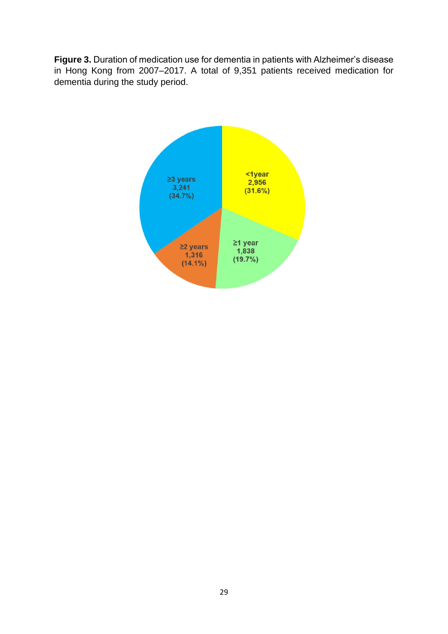**Figure 3.** Duration of medication use for dementia in patients with Alzheimer's disease in Hong Kong from 2007–2017. A total of 9,351 patients received medication for dementia during the study period.

![](_page_28_Figure_1.jpeg)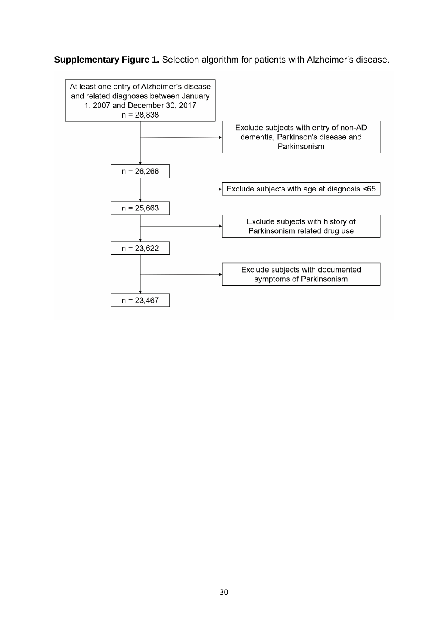# **Supplementary Figure 1.** Selection algorithm for patients with Alzheimer's disease.

![](_page_29_Figure_1.jpeg)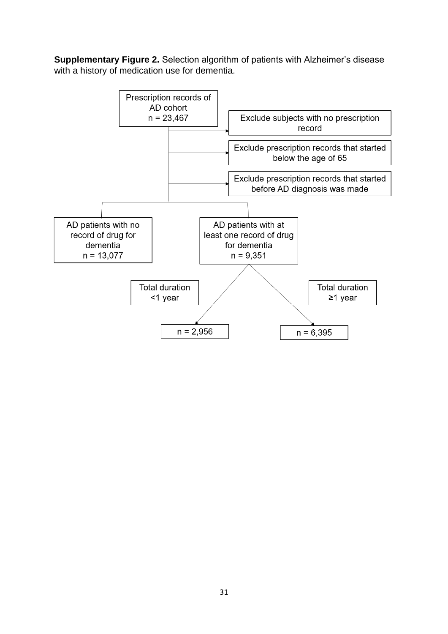**Supplementary Figure 2.** Selection algorithm of patients with Alzheimer's disease with a history of medication use for dementia.

![](_page_30_Figure_1.jpeg)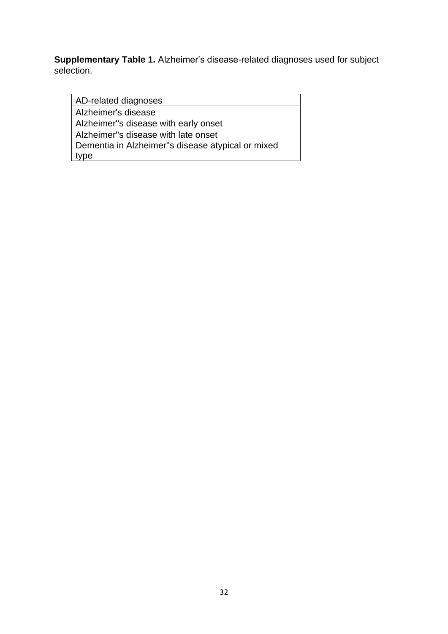**Supplementary Table 1.** Alzheimer's disease-related diagnoses used for subject selection.

AD-related diagnoses Alzheimer's disease Alzheimer''s disease with early onset Alzheimer''s disease with late onset Dementia in Alzheimer''s disease atypical or mixed type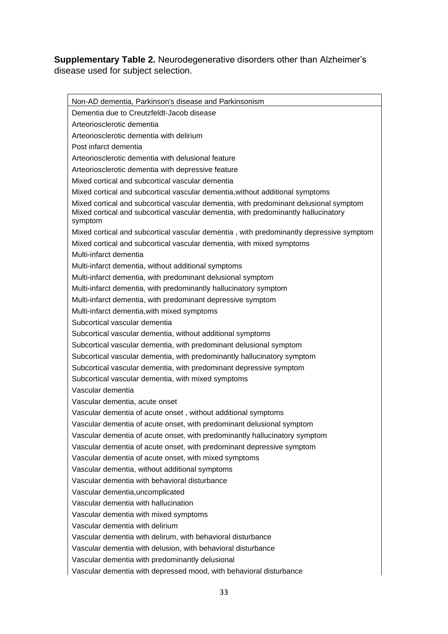# **Supplementary Table 2.** Neurodegenerative disorders other than Alzheimer's disease used for subject selection.

Non-AD dementia, Parkinson's disease and Parkinsonism Dementia due to Creutzfeldt-Jacob disease Arteoriosclerotic dementia Arteoriosclerotic dementia with delirium Post infarct dementia Arteoriosclerotic dementia with delusional feature Arteoriosclerotic dementia with depressive feature Mixed cortical and subcortical vascular dementia Mixed cortical and subcortical vascular dementia,without additional symptoms Mixed cortical and subcortical vascular dementia, with predominant delusional symptom Mixed cortical and subcortical vascular dementia, with predominantly hallucinatory symptom Mixed cortical and subcortical vascular dementia , with predominantly depressive symptom Mixed cortical and subcortical vascular dementia, with mixed symptoms Multi-infarct dementia Multi-infarct dementia, without additional symptoms Multi-infarct dementia, with predominant delusional symptom Multi-infarct dementia, with predominantly hallucinatory symptom Multi-infarct dementia, with predominant depressive symptom Multi-infarct dementia,with mixed symptoms Subcortical vascular dementia Subcortical vascular dementia, without additional symptoms Subcortical vascular dementia, with predominant delusional symptom Subcortical vascular dementia, with predominantly hallucinatory symptom Subcortical vascular dementia, with predominant depressive symptom Subcortical vascular dementia, with mixed symptoms Vascular dementia Vascular dementia, acute onset Vascular dementia of acute onset , without additional symptoms Vascular dementia of acute onset, with predominant delusional symptom Vascular dementia of acute onset, with predominantly hallucinatory symptom Vascular dementia of acute onset, with predominant depressive symptom Vascular dementia of acute onset, with mixed symptoms Vascular dementia, without additional symptoms Vascular dementia with behavioral disturbance Vascular dementia,uncomplicated Vascular dementia with hallucination Vascular dementia with mixed symptoms Vascular dementia with delirium Vascular dementia with delirum, with behavioral disturbance Vascular dementia with delusion, with behavioral disturbance Vascular dementia with predominantly delusional Vascular dementia with depressed mood, with behavioral disturbance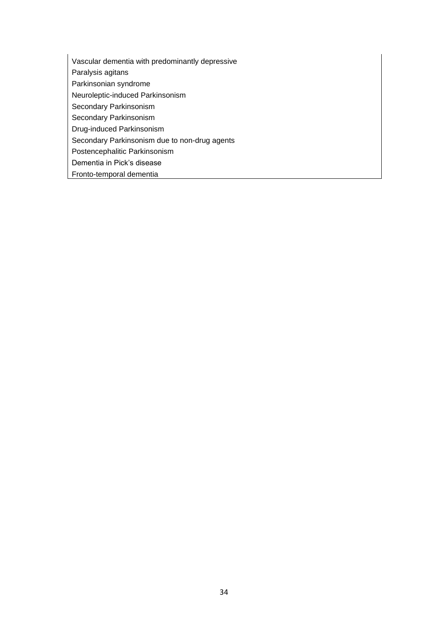- Vascular dementia with predominantly depressive
- Paralysis agitans
- Parkinsonian syndrome
- Neuroleptic-induced Parkinsonism
- Secondary Parkinsonism
- Secondary Parkinsonism
- Drug-induced Parkinsonism
- Secondary Parkinsonism due to non-drug agents
- Postencephalitic Parkinsonism
- Dementia in Pick's disease
- Fronto-temporal dementia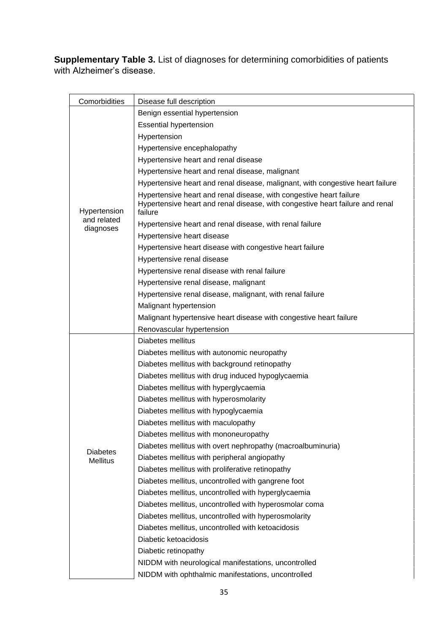**Supplementary Table 3.** List of diagnoses for determining comorbidities of patients with Alzheimer's disease.

| Comorbidities   | Disease full description                                                                                                                                        |  |  |
|-----------------|-----------------------------------------------------------------------------------------------------------------------------------------------------------------|--|--|
|                 | Benign essential hypertension                                                                                                                                   |  |  |
| Hypertension    | <b>Essential hypertension</b>                                                                                                                                   |  |  |
|                 | Hypertension                                                                                                                                                    |  |  |
|                 | Hypertensive encephalopathy                                                                                                                                     |  |  |
|                 | Hypertensive heart and renal disease                                                                                                                            |  |  |
|                 | Hypertensive heart and renal disease, malignant                                                                                                                 |  |  |
|                 | Hypertensive heart and renal disease, malignant, with congestive heart failure                                                                                  |  |  |
|                 | Hypertensive heart and renal disease, with congestive heart failure<br>Hypertensive heart and renal disease, with congestive heart failure and renal<br>failure |  |  |
| and related     | Hypertensive heart and renal disease, with renal failure                                                                                                        |  |  |
| diagnoses       | Hypertensive heart disease                                                                                                                                      |  |  |
|                 | Hypertensive heart disease with congestive heart failure                                                                                                        |  |  |
|                 | Hypertensive renal disease                                                                                                                                      |  |  |
|                 | Hypertensive renal disease with renal failure                                                                                                                   |  |  |
|                 | Hypertensive renal disease, malignant                                                                                                                           |  |  |
|                 | Hypertensive renal disease, malignant, with renal failure                                                                                                       |  |  |
|                 | Malignant hypertension                                                                                                                                          |  |  |
|                 | Malignant hypertensive heart disease with congestive heart failure                                                                                              |  |  |
|                 | Renovascular hypertension                                                                                                                                       |  |  |
|                 | Diabetes mellitus                                                                                                                                               |  |  |
|                 | Diabetes mellitus with autonomic neuropathy                                                                                                                     |  |  |
|                 | Diabetes mellitus with background retinopathy                                                                                                                   |  |  |
|                 | Diabetes mellitus with drug induced hypoglycaemia                                                                                                               |  |  |
|                 | Diabetes mellitus with hyperglycaemia                                                                                                                           |  |  |
|                 | Diabetes mellitus with hyperosmolarity                                                                                                                          |  |  |
|                 | Diabetes mellitus with hypoglycaemia                                                                                                                            |  |  |
|                 | Diabetes mellitus with maculopathy                                                                                                                              |  |  |
|                 | Diabetes mellitus with mononeuropathy                                                                                                                           |  |  |
| <b>Diabetes</b> | Diabetes mellitus with overt nephropathy (macroalbuminuria)                                                                                                     |  |  |
| <b>Mellitus</b> | Diabetes mellitus with peripheral angiopathy                                                                                                                    |  |  |
|                 | Diabetes mellitus with proliferative retinopathy                                                                                                                |  |  |
|                 | Diabetes mellitus, uncontrolled with gangrene foot                                                                                                              |  |  |
|                 | Diabetes mellitus, uncontrolled with hyperglycaemia                                                                                                             |  |  |
|                 | Diabetes mellitus, uncontrolled with hyperosmolar coma                                                                                                          |  |  |
|                 | Diabetes mellitus, uncontrolled with hyperosmolarity                                                                                                            |  |  |
|                 | Diabetes mellitus, uncontrolled with ketoacidosis                                                                                                               |  |  |
|                 | Diabetic ketoacidosis                                                                                                                                           |  |  |
|                 | Diabetic retinopathy                                                                                                                                            |  |  |
|                 | NIDDM with neurological manifestations, uncontrolled                                                                                                            |  |  |
|                 | NIDDM with ophthalmic manifestations, uncontrolled                                                                                                              |  |  |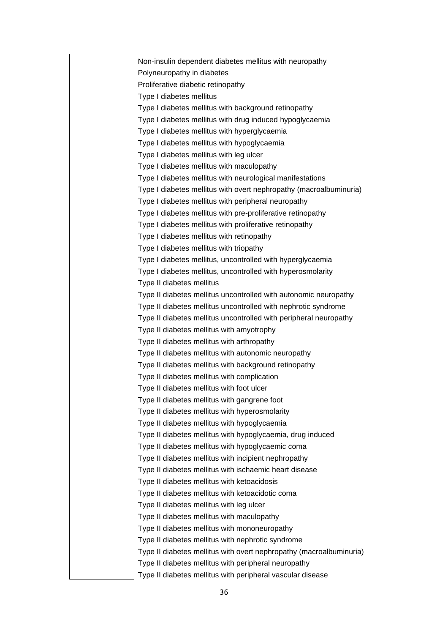Non-insulin dependent diabetes mellitus with neuropathy Polyneuropathy in diabetes Proliferative diabetic retinopathy Type I diabetes mellitus Type I diabetes mellitus with background retinopathy Type I diabetes mellitus with drug induced hypoglycaemia Type I diabetes mellitus with hyperglycaemia Type I diabetes mellitus with hypoglycaemia Type I diabetes mellitus with leg ulcer Type I diabetes mellitus with maculopathy Type I diabetes mellitus with neurological manifestations Type I diabetes mellitus with overt nephropathy (macroalbuminuria) Type I diabetes mellitus with peripheral neuropathy Type I diabetes mellitus with pre-proliferative retinopathy Type I diabetes mellitus with proliferative retinopathy Type I diabetes mellitus with retinopathy Type I diabetes mellitus with triopathy Type I diabetes mellitus, uncontrolled with hyperglycaemia Type I diabetes mellitus, uncontrolled with hyperosmolarity Type II diabetes mellitus Type II diabetes mellitus uncontrolled with autonomic neuropathy Type II diabetes mellitus uncontrolled with nephrotic syndrome Type II diabetes mellitus uncontrolled with peripheral neuropathy Type II diabetes mellitus with amyotrophy Type II diabetes mellitus with arthropathy Type II diabetes mellitus with autonomic neuropathy Type II diabetes mellitus with background retinopathy Type II diabetes mellitus with complication Type II diabetes mellitus with foot ulcer Type II diabetes mellitus with gangrene foot Type II diabetes mellitus with hyperosmolarity Type II diabetes mellitus with hypoglycaemia Type II diabetes mellitus with hypoglycaemia, drug induced Type II diabetes mellitus with hypoglycaemic coma Type II diabetes mellitus with incipient nephropathy Type II diabetes mellitus with ischaemic heart disease Type II diabetes mellitus with ketoacidosis Type II diabetes mellitus with ketoacidotic coma Type II diabetes mellitus with leg ulcer Type II diabetes mellitus with maculopathy Type II diabetes mellitus with mononeuropathy Type II diabetes mellitus with nephrotic syndrome Type II diabetes mellitus with overt nephropathy (macroalbuminuria) Type II diabetes mellitus with peripheral neuropathy Type II diabetes mellitus with peripheral vascular disease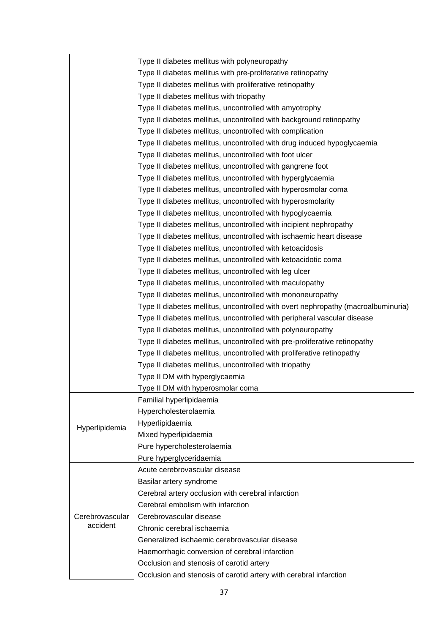|                 | Type II diabetes mellitus with polyneuropathy                                     |
|-----------------|-----------------------------------------------------------------------------------|
|                 | Type II diabetes mellitus with pre-proliferative retinopathy                      |
|                 | Type II diabetes mellitus with proliferative retinopathy                          |
|                 | Type II diabetes mellitus with triopathy                                          |
|                 | Type II diabetes mellitus, uncontrolled with amyotrophy                           |
|                 | Type II diabetes mellitus, uncontrolled with background retinopathy               |
|                 | Type II diabetes mellitus, uncontrolled with complication                         |
|                 | Type II diabetes mellitus, uncontrolled with drug induced hypoglycaemia           |
|                 | Type II diabetes mellitus, uncontrolled with foot ulcer                           |
|                 | Type II diabetes mellitus, uncontrolled with gangrene foot                        |
|                 | Type II diabetes mellitus, uncontrolled with hyperglycaemia                       |
|                 | Type II diabetes mellitus, uncontrolled with hyperosmolar coma                    |
|                 | Type II diabetes mellitus, uncontrolled with hyperosmolarity                      |
|                 | Type II diabetes mellitus, uncontrolled with hypoglycaemia                        |
|                 | Type II diabetes mellitus, uncontrolled with incipient nephropathy                |
|                 | Type II diabetes mellitus, uncontrolled with ischaemic heart disease              |
|                 | Type II diabetes mellitus, uncontrolled with ketoacidosis                         |
|                 | Type II diabetes mellitus, uncontrolled with ketoacidotic coma                    |
|                 | Type II diabetes mellitus, uncontrolled with leg ulcer                            |
|                 | Type II diabetes mellitus, uncontrolled with maculopathy                          |
|                 | Type II diabetes mellitus, uncontrolled with mononeuropathy                       |
|                 | Type II diabetes mellitus, uncontrolled with overt nephropathy (macroalbuminuria) |
|                 | Type II diabetes mellitus, uncontrolled with peripheral vascular disease          |
|                 | Type II diabetes mellitus, uncontrolled with polyneuropathy                       |
|                 | Type II diabetes mellitus, uncontrolled with pre-proliferative retinopathy        |
|                 | Type II diabetes mellitus, uncontrolled with proliferative retinopathy            |
|                 | Type II diabetes mellitus, uncontrolled with triopathy                            |
|                 | Type II DM with hyperglycaemia                                                    |
|                 | Type II DM with hyperosmolar coma                                                 |
|                 | Familial hyperlipidaemia                                                          |
|                 | Hypercholesterolaemia                                                             |
| Hyperlipidemia  | Hyperlipidaemia                                                                   |
|                 | Mixed hyperlipidaemia                                                             |
|                 | Pure hypercholesterolaemia                                                        |
|                 | Pure hyperglyceridaemia                                                           |
|                 | Acute cerebrovascular disease                                                     |
|                 | Basilar artery syndrome                                                           |
|                 | Cerebral artery occlusion with cerebral infarction                                |
|                 | Cerebral embolism with infarction                                                 |
| Cerebrovascular | Cerebrovascular disease                                                           |
| accident        | Chronic cerebral ischaemia                                                        |
|                 | Generalized ischaemic cerebrovascular disease                                     |
|                 | Haemorrhagic conversion of cerebral infarction                                    |
|                 | Occlusion and stenosis of carotid artery                                          |
|                 | Occlusion and stenosis of carotid artery with cerebral infarction                 |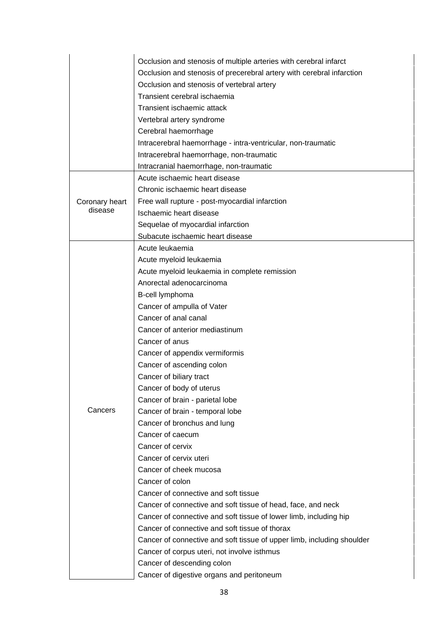|                | Occlusion and stenosis of multiple arteries with cerebral infarct      |  |  |
|----------------|------------------------------------------------------------------------|--|--|
|                | Occlusion and stenosis of precerebral artery with cerebral infarction  |  |  |
|                | Occlusion and stenosis of vertebral artery                             |  |  |
|                | Transient cerebral ischaemia                                           |  |  |
|                | Transient ischaemic attack                                             |  |  |
|                | Vertebral artery syndrome                                              |  |  |
|                | Cerebral haemorrhage                                                   |  |  |
|                | Intracerebral haemorrhage - intra-ventricular, non-traumatic           |  |  |
|                | Intracerebral haemorrhage, non-traumatic                               |  |  |
|                | Intracranial haemorrhage, non-traumatic                                |  |  |
|                | Acute ischaemic heart disease                                          |  |  |
|                | Chronic ischaemic heart disease                                        |  |  |
| Coronary heart | Free wall rupture - post-myocardial infarction                         |  |  |
| disease        | Ischaemic heart disease                                                |  |  |
|                | Sequelae of myocardial infarction                                      |  |  |
|                | Subacute ischaemic heart disease                                       |  |  |
|                | Acute leukaemia                                                        |  |  |
|                | Acute myeloid leukaemia                                                |  |  |
|                | Acute myeloid leukaemia in complete remission                          |  |  |
|                | Anorectal adenocarcinoma                                               |  |  |
|                | B-cell lymphoma                                                        |  |  |
|                | Cancer of ampulla of Vater                                             |  |  |
|                | Cancer of anal canal                                                   |  |  |
|                | Cancer of anterior mediastinum                                         |  |  |
|                | Cancer of anus                                                         |  |  |
|                | Cancer of appendix vermiformis                                         |  |  |
|                | Cancer of ascending colon                                              |  |  |
|                | Cancer of biliary tract                                                |  |  |
|                | Cancer of body of uterus                                               |  |  |
|                | Cancer of brain - parietal lobe                                        |  |  |
| Cancers        | Cancer of brain - temporal lobe                                        |  |  |
|                | Cancer of bronchus and lung                                            |  |  |
|                | Cancer of caecum                                                       |  |  |
|                | Cancer of cervix                                                       |  |  |
|                | Cancer of cervix uteri                                                 |  |  |
|                | Cancer of cheek mucosa                                                 |  |  |
|                | Cancer of colon                                                        |  |  |
|                | Cancer of connective and soft tissue                                   |  |  |
|                | Cancer of connective and soft tissue of head, face, and neck           |  |  |
|                | Cancer of connective and soft tissue of lower limb, including hip      |  |  |
|                | Cancer of connective and soft tissue of thorax                         |  |  |
|                | Cancer of connective and soft tissue of upper limb, including shoulder |  |  |
|                | Cancer of corpus uteri, not involve isthmus                            |  |  |
|                | Cancer of descending colon                                             |  |  |
|                | Cancer of digestive organs and peritoneum                              |  |  |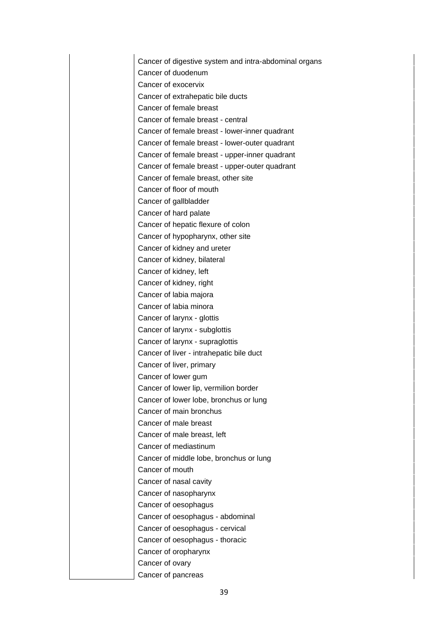Cancer of digestive system and intra-abdominal organs Cancer of duodenum Cancer of exocervix Cancer of extrahepatic bile ducts Cancer of female breast Cancer of female breast - central Cancer of female breast - lower-inner quadrant Cancer of female breast - lower-outer quadrant Cancer of female breast - upper-inner quadrant Cancer of female breast - upper-outer quadrant Cancer of female breast, other site Cancer of floor of mouth Cancer of gallbladder Cancer of hard palate Cancer of hepatic flexure of colon Cancer of hypopharynx, other site Cancer of kidney and ureter Cancer of kidney, bilateral Cancer of kidney, left Cancer of kidney, right Cancer of labia majora Cancer of labia minora Cancer of larynx - glottis Cancer of larynx - subglottis Cancer of larynx - supraglottis Cancer of liver - intrahepatic bile duct Cancer of liver, primary Cancer of lower gum Cancer of lower lip, vermilion border Cancer of lower lobe, bronchus or lung Cancer of main bronchus Cancer of male breast Cancer of male breast, left Cancer of mediastinum Cancer of middle lobe, bronchus or lung Cancer of mouth Cancer of nasal cavity Cancer of nasopharynx Cancer of oesophagus Cancer of oesophagus - abdominal Cancer of oesophagus - cervical Cancer of oesophagus - thoracic Cancer of oropharynx Cancer of ovary Cancer of pancreas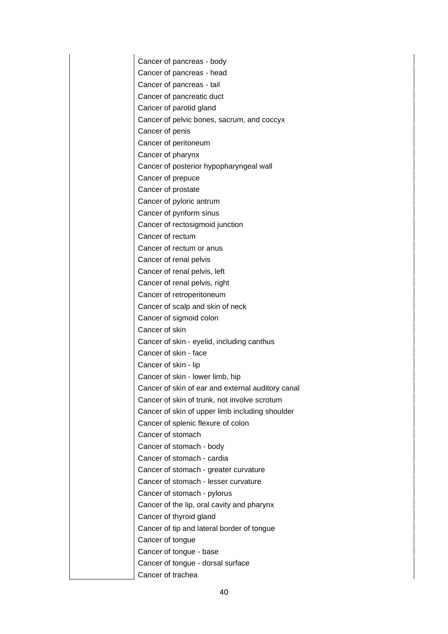Cancer of pancreas - body Cancer of pancreas - head Cancer of pancreas - tail Cancer of pancreatic duct Cancer of parotid gland Cancer of pelvic bones, sacrum, and coccyx Cancer of penis Cancer of peritoneum Cancer of pharynx Cancer of posterior hypopharyngeal wall Cancer of prepuce Cancer of prostate Cancer of pyloric antrum Cancer of pyriform sinus Cancer of rectosigmoid junction Cancer of rectum Cancer of rectum or anus Cancer of renal pelvis Cancer of renal pelvis, left Cancer of renal pelvis, right Cancer of retroperitoneum Cancer of scalp and skin of neck Cancer of sigmoid colon Cancer of skin Cancer of skin - eyelid, including canthus Cancer of skin - face Cancer of skin - lip Cancer of skin - lower limb, hip Cancer of skin of ear and external auditory canal Cancer of skin of trunk, not involve scrotum Cancer of skin of upper limb including shoulder Cancer of splenic flexure of colon Cancer of stomach Cancer of stomach - body Cancer of stomach - cardia Cancer of stomach - greater curvature Cancer of stomach - lesser curvature Cancer of stomach - pylorus Cancer of the lip, oral cavity and pharynx Cancer of thyroid gland Cancer of tip and lateral border of tongue Cancer of tongue Cancer of tongue - base Cancer of tongue - dorsal surface Cancer of trachea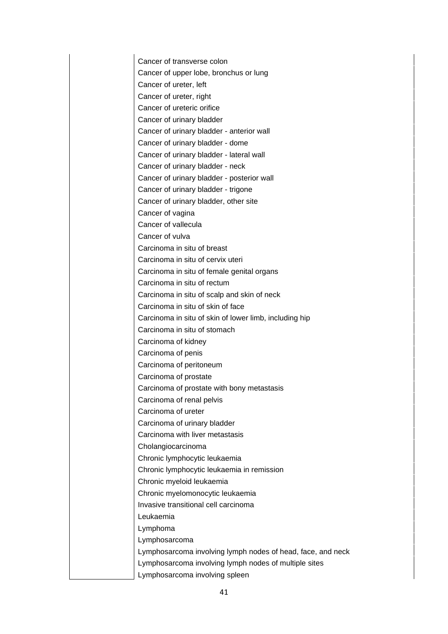Cancer of transverse colon Cancer of upper lobe, bronchus or lung Cancer of ureter, left Cancer of ureter, right Cancer of ureteric orifice Cancer of urinary bladder Cancer of urinary bladder - anterior wall Cancer of urinary bladder - dome Cancer of urinary bladder - lateral wall Cancer of urinary bladder - neck Cancer of urinary bladder - posterior wall Cancer of urinary bladder - trigone Cancer of urinary bladder, other site Cancer of vagina Cancer of vallecula Cancer of vulva Carcinoma in situ of breast Carcinoma in situ of cervix uteri Carcinoma in situ of female genital organs Carcinoma in situ of rectum Carcinoma in situ of scalp and skin of neck Carcinoma in situ of skin of face Carcinoma in situ of skin of lower limb, including hip Carcinoma in situ of stomach Carcinoma of kidney Carcinoma of penis Carcinoma of peritoneum Carcinoma of prostate Carcinoma of prostate with bony metastasis Carcinoma of renal pelvis Carcinoma of ureter Carcinoma of urinary bladder Carcinoma with liver metastasis Cholangiocarcinoma Chronic lymphocytic leukaemia Chronic lymphocytic leukaemia in remission Chronic myeloid leukaemia Chronic myelomonocytic leukaemia Invasive transitional cell carcinoma Leukaemia Lymphoma Lymphosarcoma Lymphosarcoma involving lymph nodes of head, face, and neck Lymphosarcoma involving lymph nodes of multiple sites Lymphosarcoma involving spleen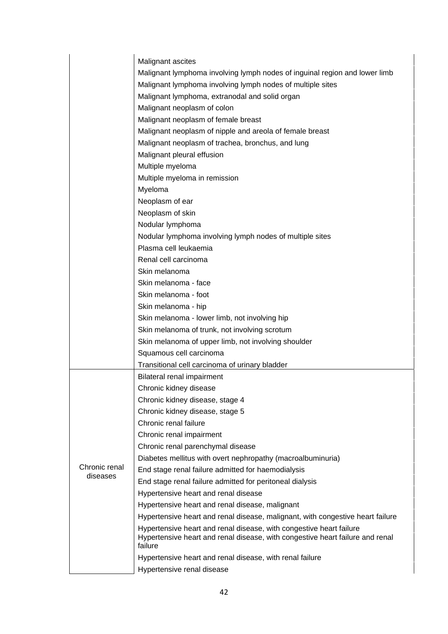|               | Malignant ascites                                                                                             |
|---------------|---------------------------------------------------------------------------------------------------------------|
|               | Malignant lymphoma involving lymph nodes of inguinal region and lower limb                                    |
|               | Malignant lymphoma involving lymph nodes of multiple sites                                                    |
|               | Malignant lymphoma, extranodal and solid organ                                                                |
|               | Malignant neoplasm of colon                                                                                   |
|               | Malignant neoplasm of female breast                                                                           |
|               |                                                                                                               |
|               | Malignant neoplasm of nipple and areola of female breast<br>Malignant neoplasm of trachea, bronchus, and lung |
|               |                                                                                                               |
|               | Malignant pleural effusion                                                                                    |
|               | Multiple myeloma                                                                                              |
|               | Multiple myeloma in remission                                                                                 |
|               | Myeloma                                                                                                       |
|               | Neoplasm of ear                                                                                               |
|               | Neoplasm of skin                                                                                              |
|               | Nodular lymphoma                                                                                              |
|               | Nodular lymphoma involving lymph nodes of multiple sites                                                      |
|               | Plasma cell leukaemia                                                                                         |
|               | Renal cell carcinoma                                                                                          |
|               | Skin melanoma                                                                                                 |
|               | Skin melanoma - face                                                                                          |
|               | Skin melanoma - foot                                                                                          |
|               | Skin melanoma - hip                                                                                           |
|               | Skin melanoma - lower limb, not involving hip                                                                 |
|               | Skin melanoma of trunk, not involving scrotum                                                                 |
|               | Skin melanoma of upper limb, not involving shoulder                                                           |
|               | Squamous cell carcinoma                                                                                       |
|               | Transitional cell carcinoma of urinary bladder                                                                |
|               | Bilateral renal impairment                                                                                    |
|               | Chronic kidney disease                                                                                        |
|               | Chronic kidney disease, stage 4                                                                               |
|               | Chronic kidney disease, stage 5                                                                               |
|               | Chronic renal failure                                                                                         |
|               | Chronic renal impairment                                                                                      |
|               | Chronic renal parenchymal disease                                                                             |
|               | Diabetes mellitus with overt nephropathy (macroalbuminuria)                                                   |
| Chronic renal | End stage renal failure admitted for haemodialysis                                                            |
| diseases      | End stage renal failure admitted for peritoneal dialysis                                                      |
|               | Hypertensive heart and renal disease                                                                          |
|               | Hypertensive heart and renal disease, malignant                                                               |
|               | Hypertensive heart and renal disease, malignant, with congestive heart failure                                |
|               | Hypertensive heart and renal disease, with congestive heart failure                                           |
|               | Hypertensive heart and renal disease, with congestive heart failure and renal                                 |
|               | failure                                                                                                       |
|               | Hypertensive heart and renal disease, with renal failure                                                      |
|               | Hypertensive renal disease                                                                                    |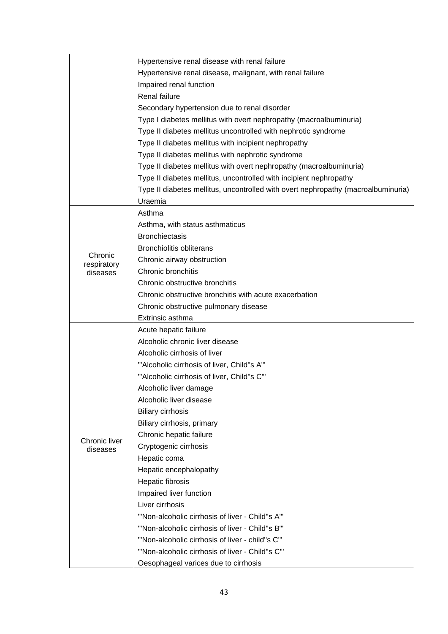|                        | Hypertensive renal disease with renal failure<br>Hypertensive renal disease, malignant, with renal failure<br>Impaired renal function |
|------------------------|---------------------------------------------------------------------------------------------------------------------------------------|
|                        | Renal failure                                                                                                                         |
|                        | Secondary hypertension due to renal disorder                                                                                          |
|                        | Type I diabetes mellitus with overt nephropathy (macroalbuminuria)                                                                    |
|                        | Type II diabetes mellitus uncontrolled with nephrotic syndrome                                                                        |
|                        | Type II diabetes mellitus with incipient nephropathy                                                                                  |
|                        | Type II diabetes mellitus with nephrotic syndrome                                                                                     |
|                        | Type II diabetes mellitus with overt nephropathy (macroalbuminuria)                                                                   |
|                        | Type II diabetes mellitus, uncontrolled with incipient nephropathy                                                                    |
|                        | Type II diabetes mellitus, uncontrolled with overt nephropathy (macroalbuminuria)                                                     |
|                        | Uraemia                                                                                                                               |
|                        | Asthma                                                                                                                                |
|                        | Asthma, with status asthmaticus                                                                                                       |
|                        | <b>Bronchiectasis</b>                                                                                                                 |
|                        | <b>Bronchiolitis obliterans</b>                                                                                                       |
| Chronic<br>respiratory | Chronic airway obstruction                                                                                                            |
| diseases               | Chronic bronchitis                                                                                                                    |
|                        | Chronic obstructive bronchitis                                                                                                        |
|                        | Chronic obstructive bronchitis with acute exacerbation                                                                                |
|                        | Chronic obstructive pulmonary disease                                                                                                 |
|                        | Extrinsic asthma                                                                                                                      |
|                        | Acute hepatic failure                                                                                                                 |
|                        | Alcoholic chronic liver disease                                                                                                       |
|                        | Alcoholic cirrhosis of liver                                                                                                          |
|                        | ""Alcoholic cirrhosis of liver, Child"s A"'                                                                                           |
|                        | ""Alcoholic cirrhosis of liver, Child"s C"'                                                                                           |
|                        | Alcoholic liver damage                                                                                                                |
|                        | Alcoholic liver disease                                                                                                               |
|                        | <b>Biliary cirrhosis</b>                                                                                                              |
|                        | Biliary cirrhosis, primary                                                                                                            |
| Chronic liver          | Chronic hepatic failure                                                                                                               |
| diseases               | Cryptogenic cirrhosis                                                                                                                 |
|                        | Hepatic coma                                                                                                                          |
|                        | Hepatic encephalopathy                                                                                                                |
|                        | Hepatic fibrosis                                                                                                                      |
|                        | Impaired liver function                                                                                                               |
|                        | Liver cirrhosis                                                                                                                       |
|                        | "Non-alcoholic cirrhosis of liver - Child"s A"                                                                                        |
|                        | "Non-alcoholic cirrhosis of liver - Child"s B"                                                                                        |
|                        | "Non-alcoholic cirrhosis of liver - child"s C"'                                                                                       |
|                        | "Non-alcoholic cirrhosis of liver - Child"s C"'                                                                                       |
|                        | Oesophageal varices due to cirrhosis                                                                                                  |